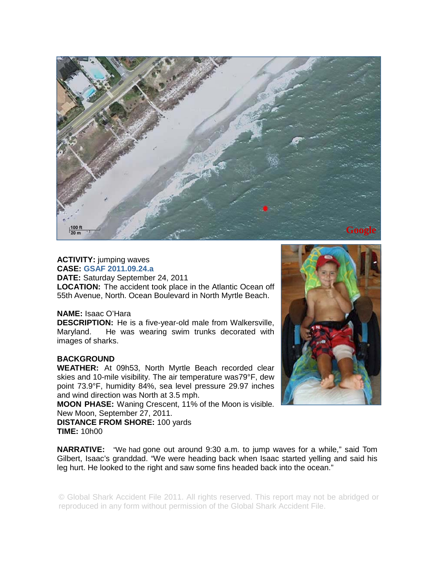

## **ACTIVITY:** jumping waves

**CASE: GSAF 2011.09.24.a DATE:** Saturday September 24, 2011 **LOCATION:** The accident took place in the Atlantic Ocean off 55th Avenue, North. Ocean Boulevard in North Myrtle Beach.

## **NAME:** Isaac O'Hara

**DESCRIPTION:** He is a five-year-old male from Walkersville, Maryland. He was wearing swim trunks decorated with images of sharks.

## **BACKGROUND**

**WEATHER:** At 09h53, North Myrtle Beach recorded clear skies and 10-mile visibility. The air temperature was79°F, dew point 73.9°F, humidity 84%, sea level pressure 29.97 inches and wind direction was North at 3.5 mph.

**MOON PHASE:** Waning Crescent, 11% of the Moon is visible. New Moon, September 27, 2011.

**DISTANCE FROM SHORE:** 100 yards **TIME:** 10h00



**NARRATIVE:** "We had gone out around 9:30 a.m. to jump waves for a while," said Tom Gilbert, Isaac's granddad. "We were heading back when Isaac started yelling and said his leg hurt. He looked to the right and saw some fins headed back into the ocean."

© Global Shark Accident File 2011. All rights reserved. This report may not be abridged or reproduced in any form without permission of the Global Shark Accident File.